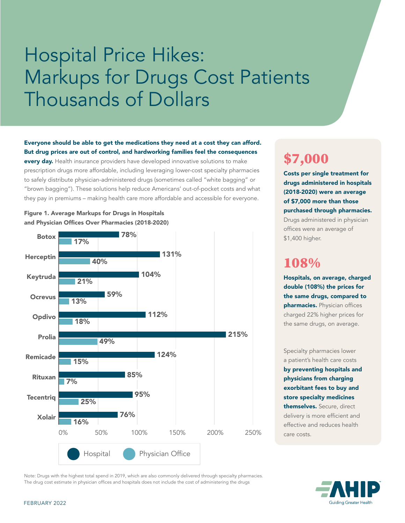# Hospital Price Hikes: Markups for Drugs Cost Patients Thousands of Dollars

Everyone should be able to get the medications they need at a cost they can afford. But drug prices are out of control, and hardworking families feel the consequences

every day. Health insurance providers have developed innovative solutions to make prescription drugs more affordable, including leveraging lower-cost specialty pharmacies to safely distribute physician-administered drugs (sometimes called "white bagging" or "brown bagging"). These solutions help reduce Americans' out-of-pocket costs and what they pay in premiums – making health care more affordable and accessible for everyone.



#### Figure 1. Average Markups for Drugs in Hospitals and Physician Offices Over Pharmacies (2018-2020)

## \$7,000

Costs per single treatment for drugs administered in hospitals (2018-2020) were an average of \$7,000 more than those purchased through pharmacies. Drugs administered in physician offices were an average of \$1,400 higher.

### 108%

Hospitals, on average, charged double (108%) the prices for the same drugs, compared to pharmacies. Physician offices charged 22% higher prices for the same drugs, on average.

Specialty pharmacies lower a patient's health care costs by preventing hospitals and physicians from charging exorbitant fees to buy and store specialty medicines themselves. Secure, direct delivery is more efficient and effective and reduces health care costs.

**Guiding Greater Health** 

Note: Drugs with the highest total spend in 2019, which are also commonly delivered through specialty pharmacies. The drug cost estimate in physician offices and hospitals does not include the cost of administering the drugs